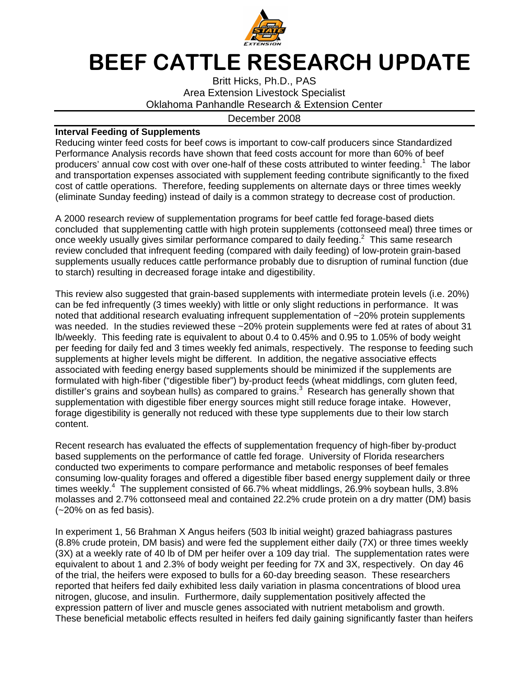

## BEEF CATTLE RESEARCH UPDATE

Britt Hicks, Ph.D., PAS Area Extension Livestock Specialist Oklahoma Panhandle Research & Extension Center

## December 2008

## **Interval Feeding of Supplements**

Reducing winter feed costs for beef cows is important to cow-calf producers since Standardized Performance Analysis records have shown that feed costs account for more than 60% of beef producers' annual cow cost with over one-half of these costs attributed to winter feeding.<sup>1</sup> The labor and transportation expenses associated with supplement feeding contribute significantly to the fixed cost of cattle operations. Therefore, feeding supplements on alternate days or three times weekly (eliminate Sunday feeding) instead of daily is a common strategy to decrease cost of production.

A 2000 research review of supplementation programs for beef cattle fed forage-based diets concluded that supplementing cattle with high protein supplements (cottonseed meal) three times or once weekly usually gives similar performance compared to daily feeding. $2$  This same research review concluded that infrequent feeding (compared with daily feeding) of low-protein grain-based supplements usually reduces cattle performance probably due to disruption of ruminal function (due to starch) resulting in decreased forage intake and digestibility.

This review also suggested that grain-based supplements with intermediate protein levels (i.e. 20%) can be fed infrequently (3 times weekly) with little or only slight reductions in performance. It was noted that additional research evaluating infrequent supplementation of ~20% protein supplements was needed. In the studies reviewed these ~20% protein supplements were fed at rates of about 31 lb/weekly. This feeding rate is equivalent to about 0.4 to 0.45% and 0.95 to 1.05% of body weight per feeding for daily fed and 3 times weekly fed animals, respectively. The response to feeding such supplements at higher levels might be different. In addition, the negative associative effects associated with feeding energy based supplements should be minimized if the supplements are formulated with high-fiber ("digestible fiber") by-product feeds (wheat middlings, corn gluten feed, distiller's grains and soybean hulls) as compared to grains.<sup>3</sup> Research has generally shown that supplementation with digestible fiber energy sources might still reduce forage intake. However, forage digestibility is generally not reduced with these type supplements due to their low starch content.

Recent research has evaluated the effects of supplementation frequency of high-fiber by-product based supplements on the performance of cattle fed forage. University of Florida researchers conducted two experiments to compare performance and metabolic responses of beef females consuming low-quality forages and offered a digestible fiber based energy supplement daily or three times weekly.<sup>4</sup> The supplement consisted of 66.7% wheat middlings, 26.9% soybean hulls, 3.8% molasses and 2.7% cottonseed meal and contained 22.2% crude protein on a dry matter (DM) basis (~20% on as fed basis).

In experiment 1, 56 Brahman X Angus heifers (503 lb initial weight) grazed bahiagrass pastures (8.8% crude protein, DM basis) and were fed the supplement either daily (7X) or three times weekly (3X) at a weekly rate of 40 lb of DM per heifer over a 109 day trial. The supplementation rates were equivalent to about 1 and 2.3% of body weight per feeding for 7X and 3X, respectively. On day 46 of the trial, the heifers were exposed to bulls for a 60-day breeding season. These researchers reported that heifers fed daily exhibited less daily variation in plasma concentrations of blood urea nitrogen, glucose, and insulin. Furthermore, daily supplementation positively affected the expression pattern of liver and muscle genes associated with nutrient metabolism and growth. These beneficial metabolic effects resulted in heifers fed daily gaining significantly faster than heifers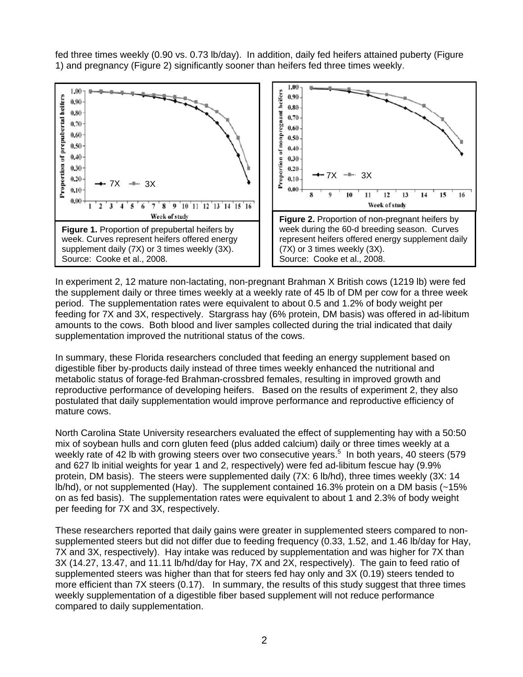fed three times weekly (0.90 vs. 0.73 lb/day). In addition, daily fed heifers attained puberty (Figure 1) and pregnancy (Figure 2) significantly sooner than heifers fed three times weekly.



In experiment 2, 12 mature non-lactating, non-pregnant Brahman X British cows (1219 lb) were fed the supplement daily or three times weekly at a weekly rate of 45 lb of DM per cow for a three week period. The supplementation rates were equivalent to about 0.5 and 1.2% of body weight per feeding for 7X and 3X, respectively. Stargrass hay (6% protein, DM basis) was offered in ad-libitum amounts to the cows. Both blood and liver samples collected during the trial indicated that daily supplementation improved the nutritional status of the cows.

In summary, these Florida researchers concluded that feeding an energy supplement based on digestible fiber by-products daily instead of three times weekly enhanced the nutritional and metabolic status of forage-fed Brahman-crossbred females, resulting in improved growth and reproductive performance of developing heifers. Based on the results of experiment 2, they also postulated that daily supplementation would improve performance and reproductive efficiency of mature cows.

North Carolina State University researchers evaluated the effect of supplementing hay with a 50:50 mix of soybean hulls and corn gluten feed (plus added calcium) daily or three times weekly at a weekly rate of 42 lb with growing steers over two consecutive years.<sup>5</sup> In both years, 40 steers (579 and 627 lb initial weights for year 1 and 2, respectively) were fed ad-libitum fescue hay (9.9% protein, DM basis). The steers were supplemented daily (7X: 6 lb/hd), three times weekly (3X: 14 lb/hd), or not supplemented (Hay). The supplement contained 16.3% protein on a DM basis (~15% on as fed basis). The supplementation rates were equivalent to about 1 and 2.3% of body weight per feeding for 7X and 3X, respectively.

These researchers reported that daily gains were greater in supplemented steers compared to nonsupplemented steers but did not differ due to feeding frequency (0.33, 1.52, and 1.46 lb/day for Hay, 7X and 3X, respectively). Hay intake was reduced by supplementation and was higher for 7X than 3X (14.27, 13.47, and 11.11 lb/hd/day for Hay, 7X and 2X, respectively). The gain to feed ratio of supplemented steers was higher than that for steers fed hay only and 3X (0.19) steers tended to more efficient than 7X steers (0.17). In summary, the results of this study suggest that three times weekly supplementation of a digestible fiber based supplement will not reduce performance compared to daily supplementation.